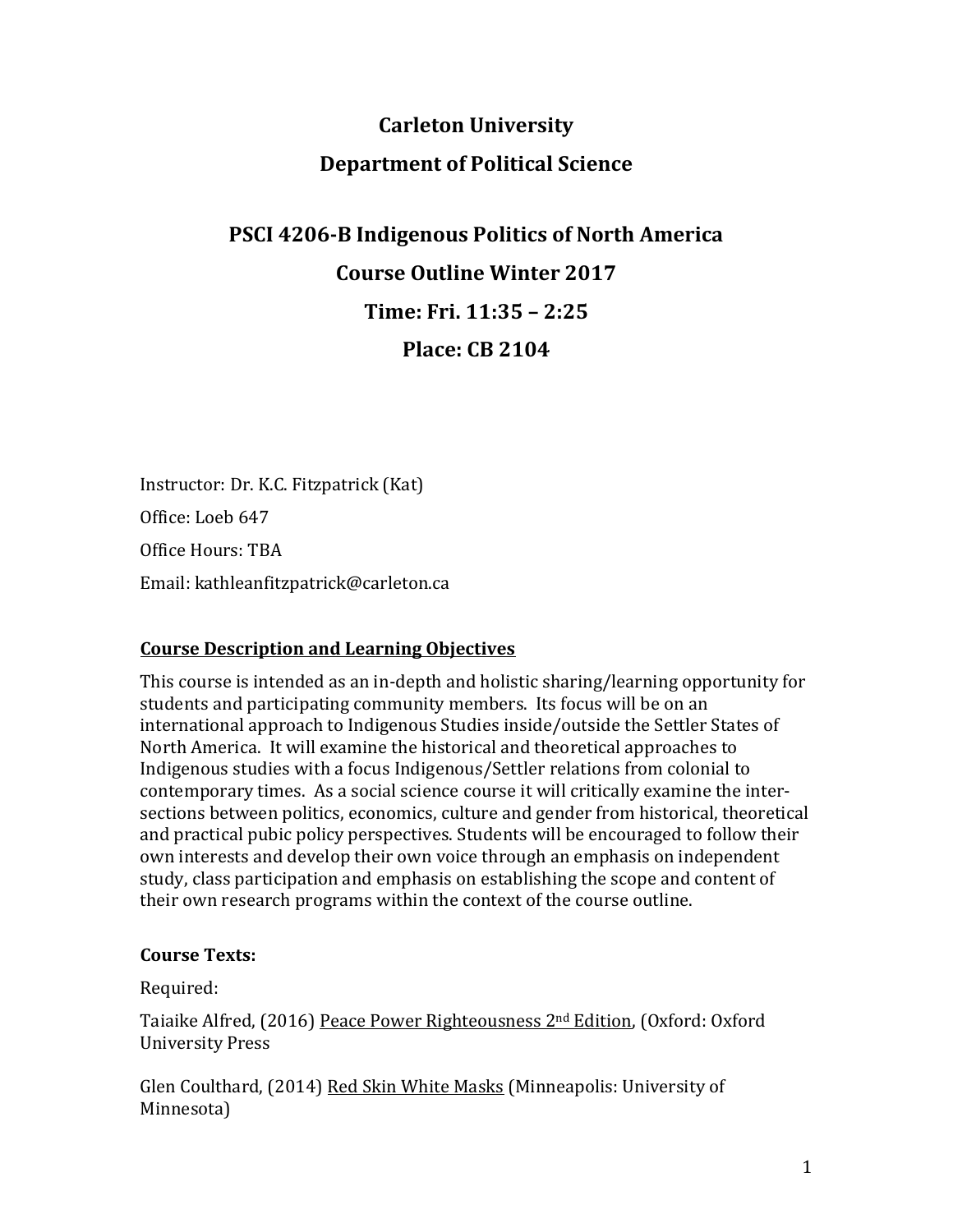# **Carleton University Department of Political Science**

# **PSCI 4206-B Indigenous Politics of North America Course Outline Winter 2017 Time: Fri. 11:35 – 2:25 Place: CB 2104**

Instructor: Dr. K.C. Fitzpatrick (Kat) Office: Loeb 647 Office Hours: TBA Email: kathleanfitzpatrick@carleton.ca

# **Course Description and Learning Objectives**

This course is intended as an in-depth and holistic sharing/learning opportunity for students and participating community members. Its focus will be on an international approach to Indigenous Studies inside/outside the Settler States of North America. It will examine the historical and theoretical approaches to Indigenous studies with a focus Indigenous/Settler relations from colonial to contemporary times. As a social science course it will critically examine the intersections between politics, economics, culture and gender from historical, theoretical and practical pubic policy perspectives. Students will be encouraged to follow their own interests and develop their own voice through an emphasis on independent study, class participation and emphasis on establishing the scope and content of their own research programs within the context of the course outline.

#### **Course Texts:**

Required:

Taiaike Alfred, (2016) Peace Power Righteousness 2nd Edition, (Oxford: Oxford University Press

Glen Coulthard, (2014) Red Skin White Masks (Minneapolis: University of Minnesota)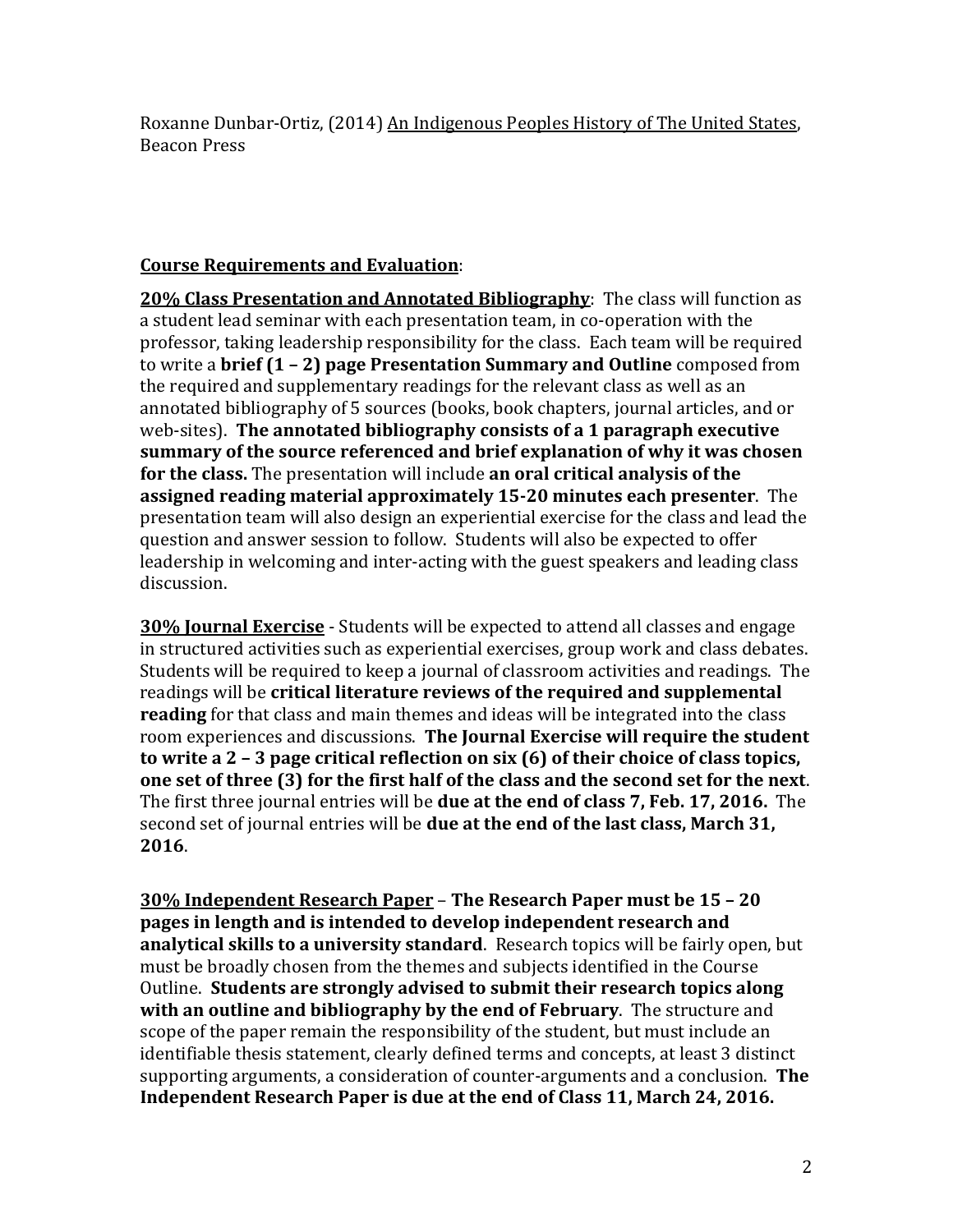Roxanne Dunbar-Ortiz, (2014) An Indigenous Peoples History of The United States, Beacon Press

#### **Course Requirements and Evaluation**:

**20% Class Presentation and Annotated Bibliography**: The class will function as a student lead seminar with each presentation team, in co-operation with the professor, taking leadership responsibility for the class. Each team will be required to write a **brief (1 – 2) page Presentation Summary and Outline** composed from the required and supplementary readings for the relevant class as well as an annotated bibliography of 5 sources (books, book chapters, journal articles, and or web-sites). **The annotated bibliography consists of a 1 paragraph executive summary of the source referenced and brief explanation of why it was chosen for the class.** The presentation will include **an oral critical analysis of the assigned reading material approximately 15-20 minutes each presenter**. The presentation team will also design an experiential exercise for the class and lead the question and answer session to follow. Students will also be expected to offer leadership in welcoming and inter-acting with the guest speakers and leading class discussion.

**30% Journal Exercise** - Students will be expected to attend all classes and engage in structured activities such as experiential exercises, group work and class debates. Students will be required to keep a journal of classroom activities and readings. The readings will be **critical literature reviews of the required and supplemental reading** for that class and main themes and ideas will be integrated into the class room experiences and discussions. **The Journal Exercise will require the student to write a 2 – 3 page critical reflection on six (6) of their choice of class topics, one set of three (3) for the first half of the class and the second set for the next**. The first three journal entries will be **due at the end of class 7, Feb. 17, 2016.** The second set of journal entries will be **due at the end of the last class, March 31, 2016**.

**30% Independent Research Paper** – **The Research Paper must be 15 – 20 pages in length and is intended to develop independent research and analytical skills to a university standard**. Research topics will be fairly open, but must be broadly chosen from the themes and subjects identified in the Course Outline. **Students are strongly advised to submit their research topics along with an outline and bibliography by the end of February**. The structure and scope of the paper remain the responsibility of the student, but must include an identifiable thesis statement, clearly defined terms and concepts, at least 3 distinct supporting arguments, a consideration of counter-arguments and a conclusion. **The Independent Research Paper is due at the end of Class 11, March 24, 2016.**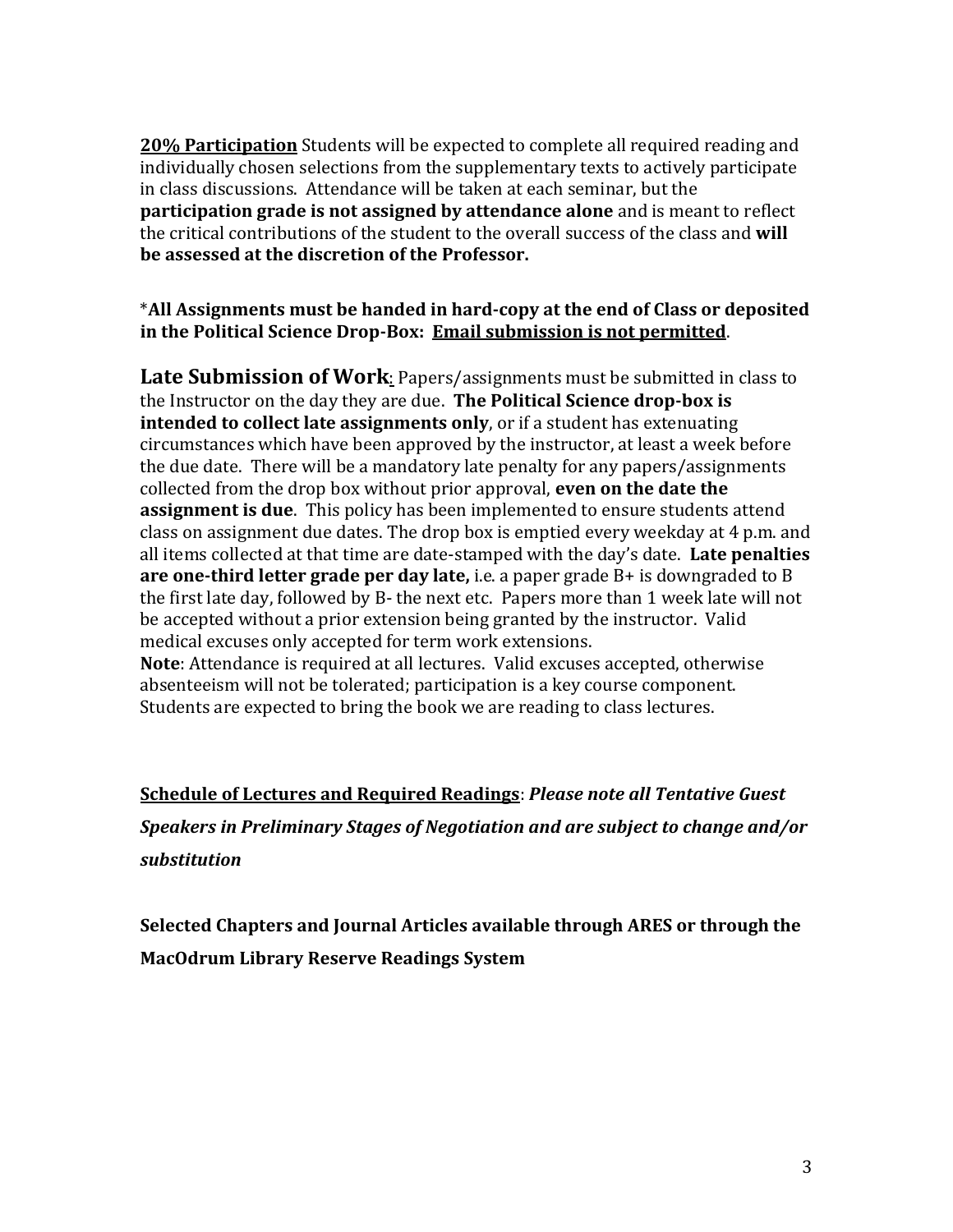**20% Participation** Students will be expected to complete all required reading and individually chosen selections from the supplementary texts to actively participate in class discussions. Attendance will be taken at each seminar, but the **participation grade is not assigned by attendance alone** and is meant to reflect the critical contributions of the student to the overall success of the class and **will be assessed at the discretion of the Professor.** 

#### \***All Assignments must be handed in hard-copy at the end of Class or deposited in the Political Science Drop-Box: Email submission is not permitted**.

**Late Submission of Work**: Papers/assignments must be submitted in class to the Instructor on the day they are due. **The Political Science drop-box is intended to collect late assignments only**, or if a student has extenuating circumstances which have been approved by the instructor, at least a week before the due date. There will be a mandatory late penalty for any papers/assignments collected from the drop box without prior approval, **even on the date the assignment is due**. This policy has been implemented to ensure students attend class on assignment due dates. The drop box is emptied every weekday at 4 p.m. and all items collected at that time are date-stamped with the day's date. **Late penalties are one-third letter grade per day late,** i.e. a paper grade B+ is downgraded to B the first late day, followed by B- the next etc. Papers more than 1 week late will not be accepted without a prior extension being granted by the instructor. Valid medical excuses only accepted for term work extensions.

**Note**: Attendance is required at all lectures. Valid excuses accepted, otherwise absenteeism will not be tolerated; participation is a key course component. Students are expected to bring the book we are reading to class lectures.

**Schedule of Lectures and Required Readings**: *Please note all Tentative Guest Speakers in Preliminary Stages of Negotiation and are subject to change and/or substitution*

**Selected Chapters and Journal Articles available through ARES or through the MacOdrum Library Reserve Readings System**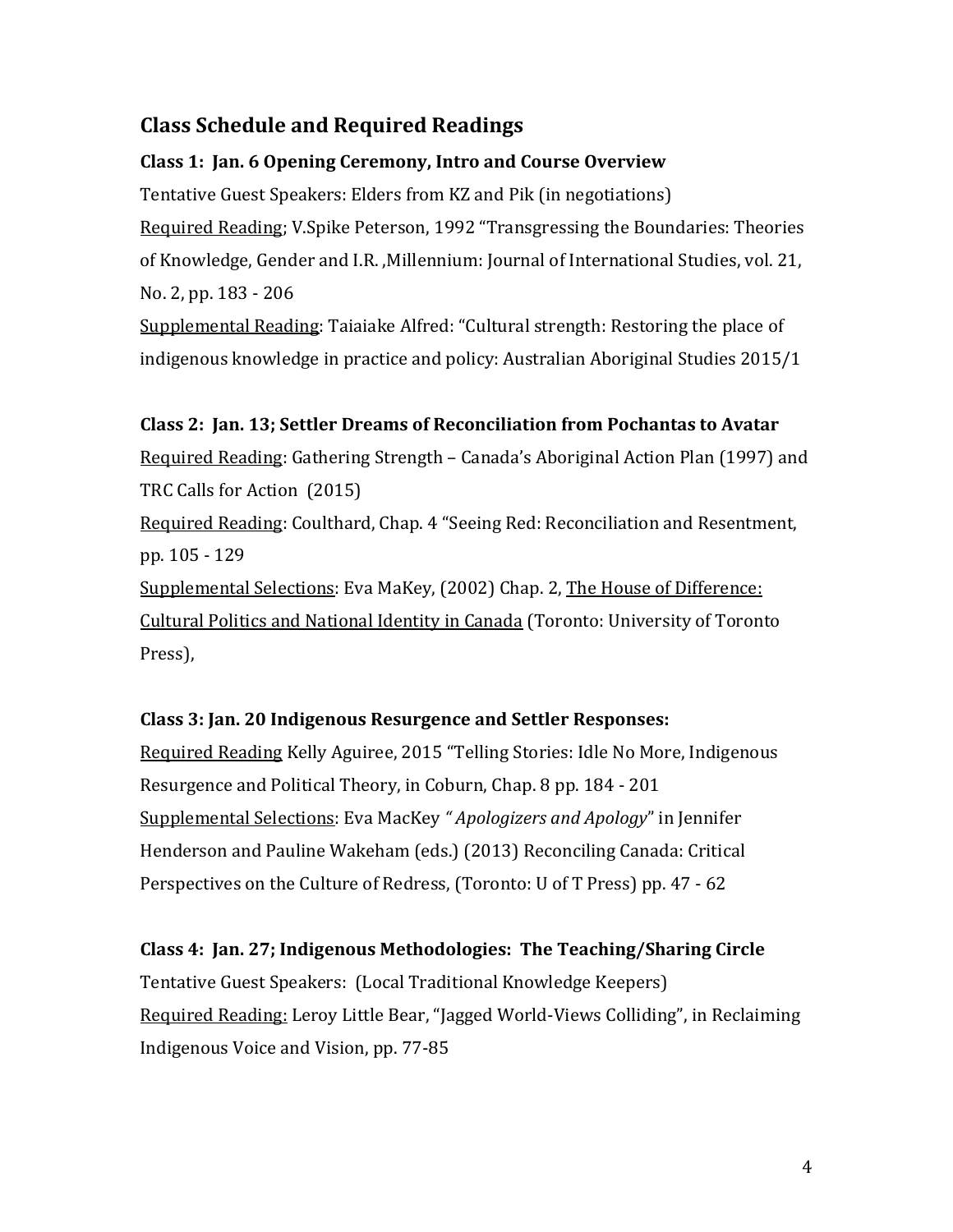# **Class Schedule and Required Readings**

#### **Class 1: Jan. 6 Opening Ceremony, Intro and Course Overview**

Tentative Guest Speakers: Elders from KZ and Pik (in negotiations) Required Reading; V.Spike Peterson, 1992 "Transgressing the Boundaries: Theories of Knowledge, Gender and I.R. ,Millennium: Journal of International Studies, vol. 21, No. 2, pp. 183 - 206

Supplemental Reading: Taiaiake Alfred: "Cultural strength: Restoring the place of indigenous knowledge in practice and policy: Australian Aboriginal Studies 2015/1

# **Class 2: Jan. 13; Settler Dreams of Reconciliation from Pochantas to Avatar**

Required Reading: Gathering Strength – Canada's Aboriginal Action Plan (1997) and TRC Calls for Action (2015)

Required Reading: Coulthard, Chap. 4 "Seeing Red: Reconciliation and Resentment, pp. 105 - 129

Supplemental Selections: Eva MaKey, (2002) Chap. 2, The House of Difference: Cultural Politics and National Identity in Canada (Toronto: University of Toronto Press),

# **Class 3: Jan. 20 Indigenous Resurgence and Settler Responses:**

Required Reading Kelly Aguiree, 2015 "Telling Stories: Idle No More, Indigenous Resurgence and Political Theory, in Coburn, Chap. 8 pp. 184 - 201 Supplemental Selections: Eva MacKey *" Apologizers and Apology*" in Jennifer Henderson and Pauline Wakeham (eds.) (2013) Reconciling Canada: Critical Perspectives on the Culture of Redress, (Toronto: U of T Press) pp. 47 - 62

#### **Class 4: Jan. 27; Indigenous Methodologies: The Teaching/Sharing Circle**

Tentative Guest Speakers: (Local Traditional Knowledge Keepers) Required Reading: Leroy Little Bear, "Jagged World-Views Colliding", in Reclaiming Indigenous Voice and Vision, pp. 77-85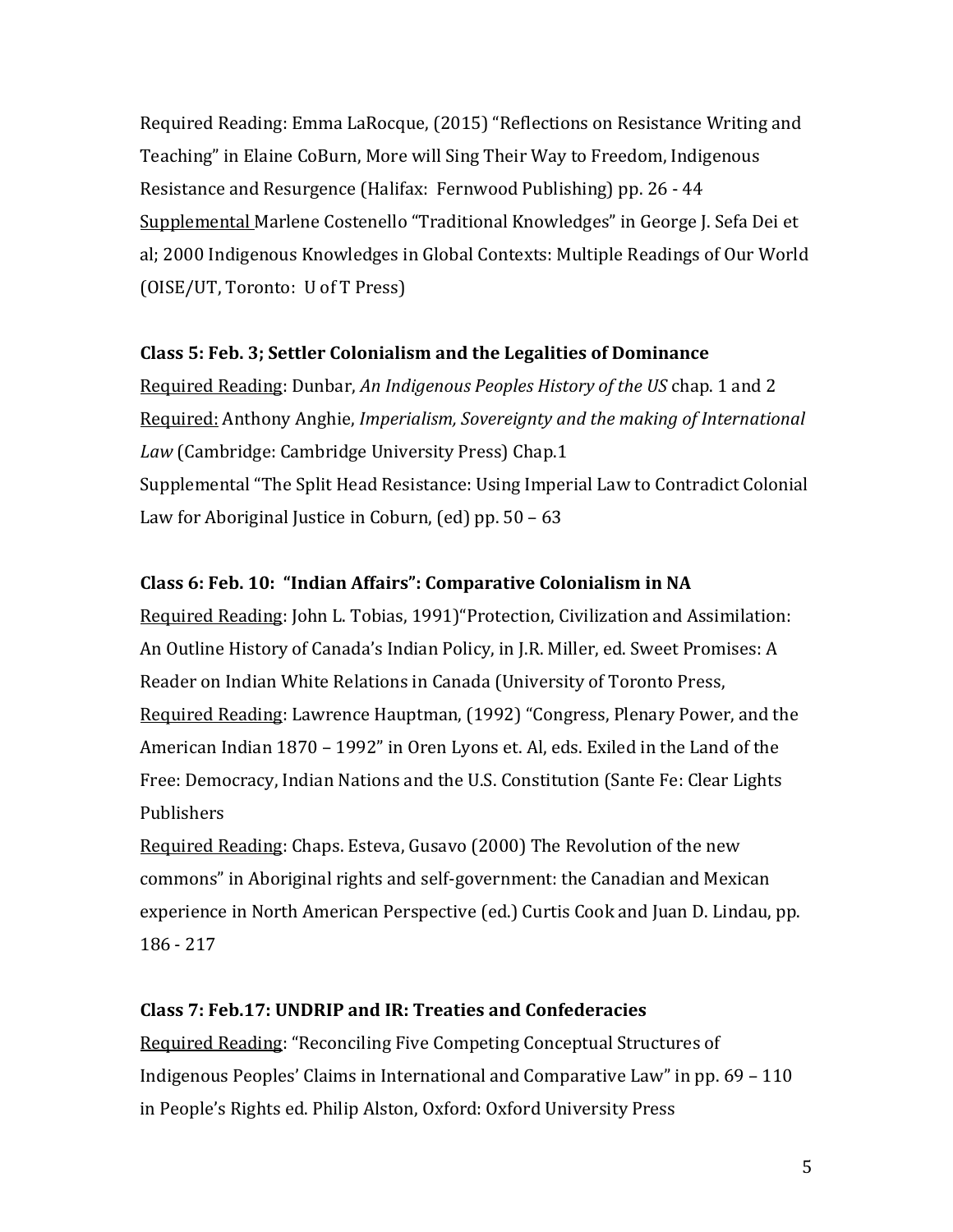Required Reading: Emma LaRocque, (2015) "Reflections on Resistance Writing and Teaching" in Elaine CoBurn, More will Sing Their Way to Freedom, Indigenous Resistance and Resurgence (Halifax: Fernwood Publishing) pp. 26 - 44 Supplemental Marlene Costenello "Traditional Knowledges" in George J. Sefa Dei et al; 2000 Indigenous Knowledges in Global Contexts: Multiple Readings of Our World (OISE/UT, Toronto: U of T Press)

# **Class 5: Feb. 3; Settler Colonialism and the Legalities of Dominance**

Required Reading: Dunbar, *An Indigenous Peoples History of the US* chap. 1 and 2 Required: Anthony Anghie, *Imperialism, Sovereignty and the making of International Law* (Cambridge: Cambridge University Press) Chap.1 Supplemental "The Split Head Resistance: Using Imperial Law to Contradict Colonial Law for Aboriginal Justice in Coburn, (ed) pp. 50 – 63

# **Class 6: Feb. 10: "Indian Affairs": Comparative Colonialism in NA**

Required Reading: John L. Tobias, 1991)"Protection, Civilization and Assimilation: An Outline History of Canada's Indian Policy, in J.R. Miller, ed. Sweet Promises: A Reader on Indian White Relations in Canada (University of Toronto Press, Required Reading: Lawrence Hauptman, (1992) "Congress, Plenary Power, and the American Indian 1870 – 1992" in Oren Lyons et. Al, eds. Exiled in the Land of the Free: Democracy, Indian Nations and the U.S. Constitution (Sante Fe: Clear Lights Publishers

Required Reading: Chaps. Esteva, Gusavo (2000) The Revolution of the new commons" in Aboriginal rights and self-government: the Canadian and Mexican experience in North American Perspective (ed.) Curtis Cook and Juan D. Lindau, pp. 186 - 217

# **Class 7: Feb.17: UNDRIP and IR: Treaties and Confederacies**

Required Reading: "Reconciling Five Competing Conceptual Structures of Indigenous Peoples' Claims in International and Comparative Law" in pp. 69 – 110 in People's Rights ed. Philip Alston, Oxford: Oxford University Press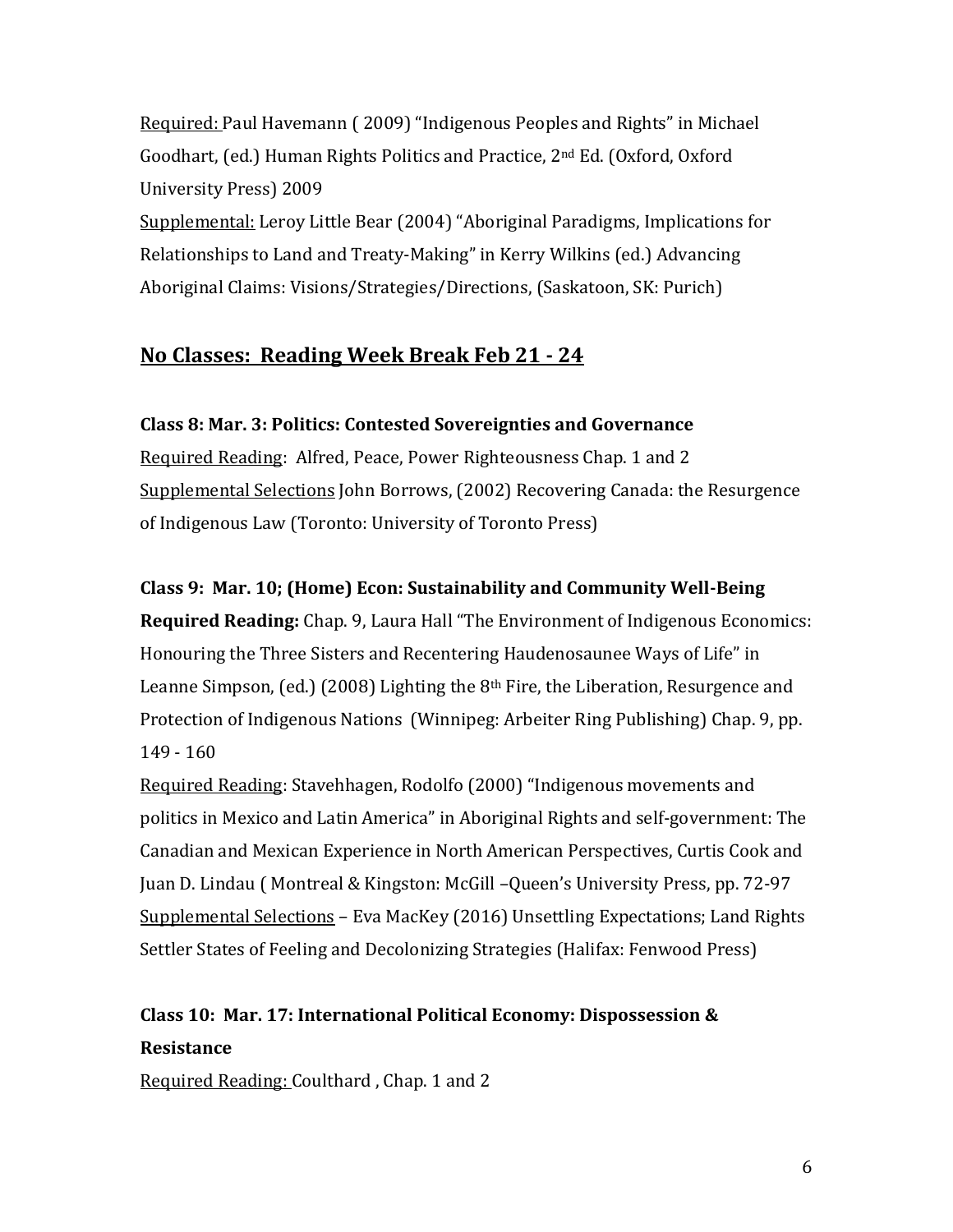Required: Paul Havemann ( 2009) "Indigenous Peoples and Rights" in Michael Goodhart, (ed.) Human Rights Politics and Practice, 2nd Ed. (Oxford, Oxford University Press) 2009

Supplemental: Leroy Little Bear (2004) "Aboriginal Paradigms, Implications for Relationships to Land and Treaty-Making" in Kerry Wilkins (ed.) Advancing Aboriginal Claims: Visions/Strategies/Directions, (Saskatoon, SK: Purich)

# **No Classes: Reading Week Break Feb 21 - 24**

# **Class 8: Mar. 3: Politics: Contested Sovereignties and Governance**

Required Reading: Alfred, Peace, Power Righteousness Chap. 1 and 2 Supplemental Selections John Borrows, (2002) Recovering Canada: the Resurgence of Indigenous Law (Toronto: University of Toronto Press)

# **Class 9: Mar. 10; (Home) Econ: Sustainability and Community Well-Being**

**Required Reading:** Chap. 9, Laura Hall "The Environment of Indigenous Economics: Honouring the Three Sisters and Recentering Haudenosaunee Ways of Life" in Leanne Simpson, (ed.) (2008) Lighting the 8<sup>th</sup> Fire, the Liberation, Resurgence and Protection of Indigenous Nations (Winnipeg: Arbeiter Ring Publishing) Chap. 9, pp. 149 - 160

Required Reading: Stavehhagen, Rodolfo (2000) "Indigenous movements and politics in Mexico and Latin America" in Aboriginal Rights and self-government: The Canadian and Mexican Experience in North American Perspectives, Curtis Cook and Juan D. Lindau ( Montreal & Kingston: McGill –Queen's University Press, pp. 72-97 Supplemental Selections – Eva MacKey (2016) Unsettling Expectations; Land Rights Settler States of Feeling and Decolonizing Strategies (Halifax: Fenwood Press)

# **Class 10: Mar. 17: International Political Economy: Dispossession & Resistance**

Required Reading: Coulthard , Chap. 1 and 2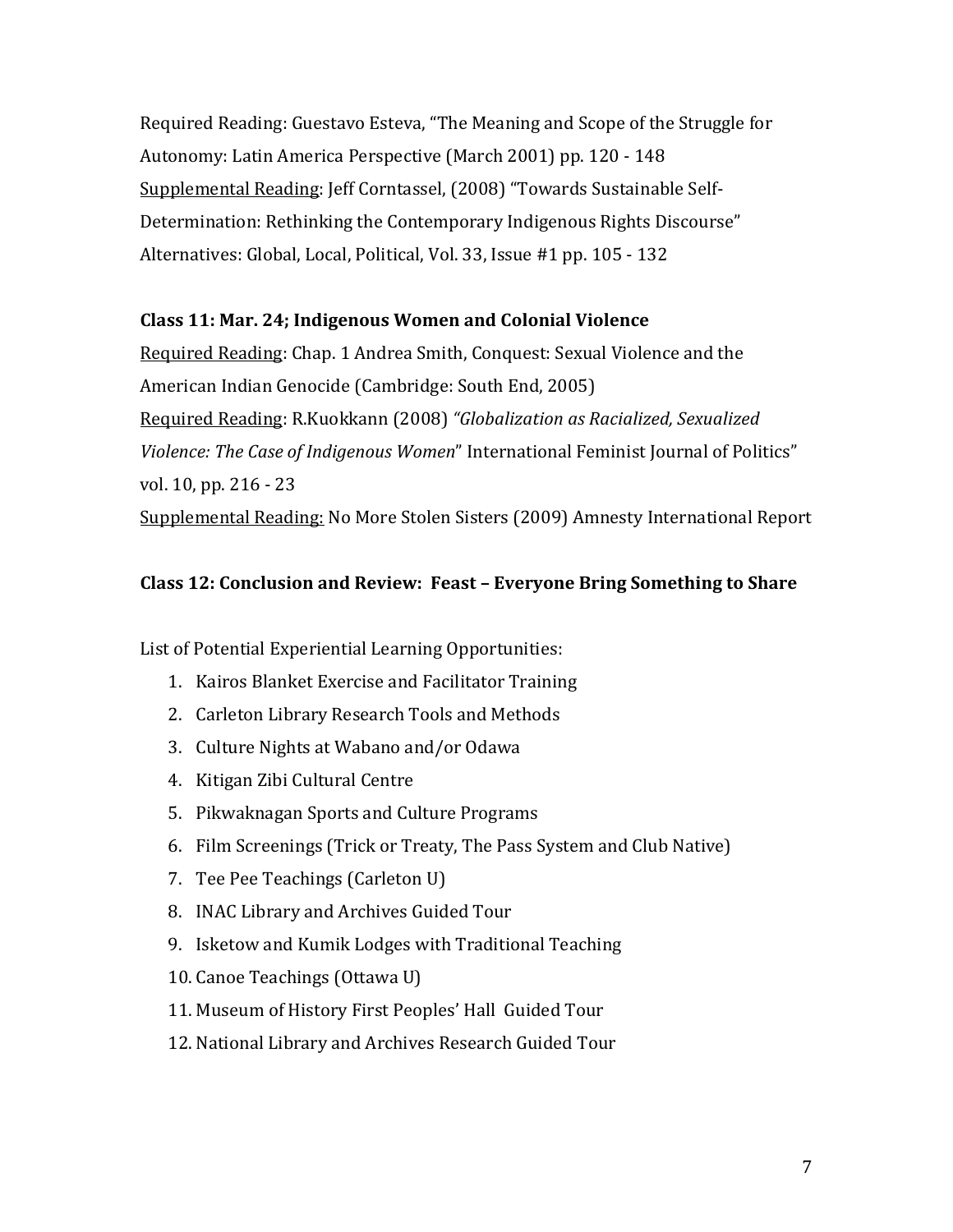Required Reading: Guestavo Esteva, "The Meaning and Scope of the Struggle for Autonomy: Latin America Perspective (March 2001) pp. 120 - 148 Supplemental Reading: Jeff Corntassel, (2008) "Towards Sustainable Self-Determination: Rethinking the Contemporary Indigenous Rights Discourse" Alternatives: Global, Local, Political, Vol. 33, Issue #1 pp. 105 - 132

#### **Class 11: Mar. 24; Indigenous Women and Colonial Violence**

Required Reading: Chap. 1 Andrea Smith, Conquest: Sexual Violence and the American Indian Genocide (Cambridge: South End, 2005) Required Reading: R.Kuokkann (2008) *"Globalization as Racialized, Sexualized Violence: The Case of Indigenous Women*" International Feminist Journal of Politics" vol. 10, pp. 216 - 23 Supplemental Reading: No More Stolen Sisters (2009) Amnesty International Report

#### **Class 12: Conclusion and Review: Feast – Everyone Bring Something to Share**

List of Potential Experiential Learning Opportunities:

- 1. Kairos Blanket Exercise and Facilitator Training
- 2. Carleton Library Research Tools and Methods
- 3. Culture Nights at Wabano and/or Odawa
- 4. Kitigan Zibi Cultural Centre
- 5. Pikwaknagan Sports and Culture Programs
- 6. Film Screenings (Trick or Treaty, The Pass System and Club Native)
- 7. Tee Pee Teachings (Carleton U)
- 8. INAC Library and Archives Guided Tour
- 9. Isketow and Kumik Lodges with Traditional Teaching
- 10. Canoe Teachings (Ottawa U)
- 11. Museum of History First Peoples' Hall Guided Tour
- 12. National Library and Archives Research Guided Tour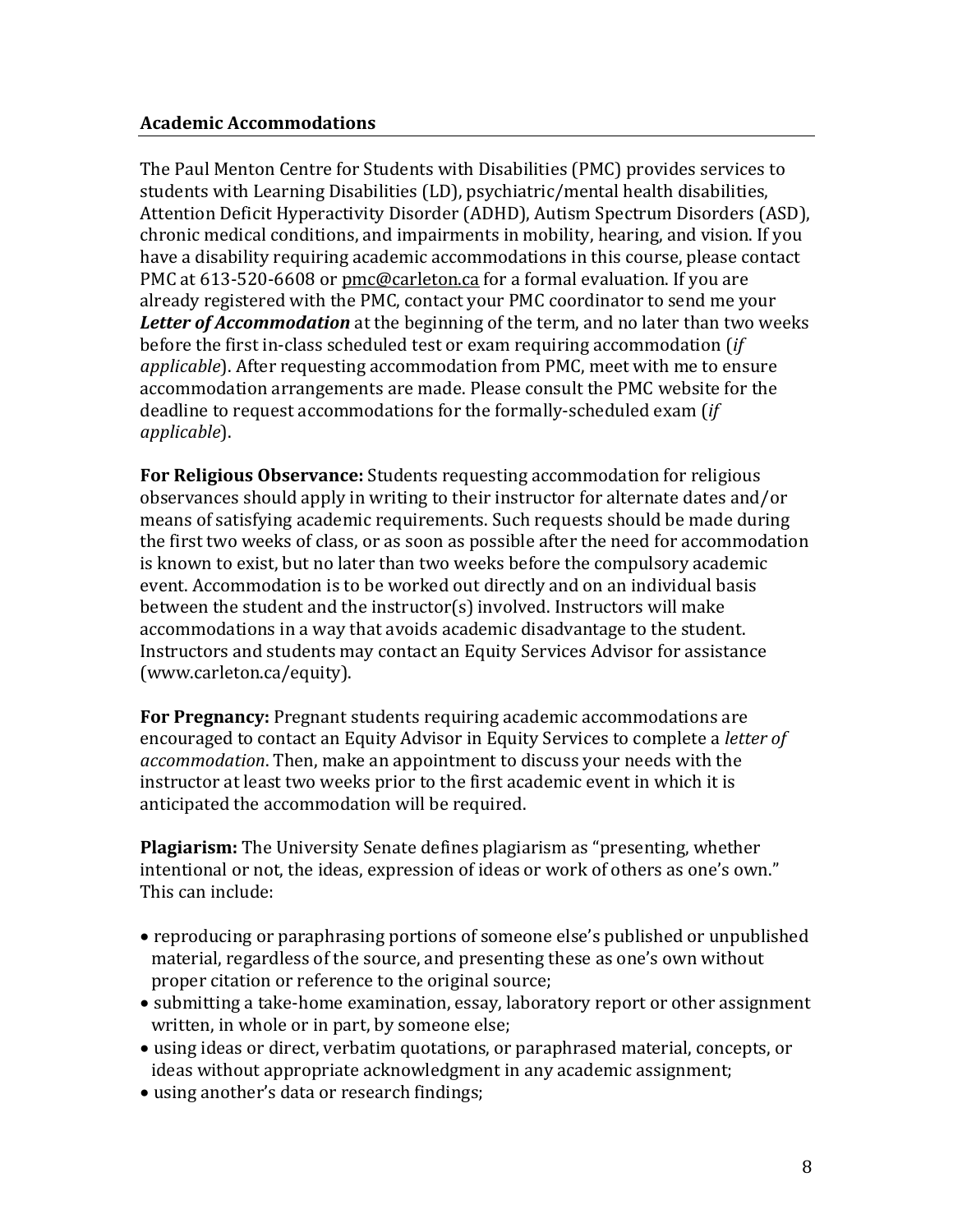The Paul Menton Centre for Students with Disabilities (PMC) provides services to students with Learning Disabilities (LD), psychiatric/mental health disabilities, Attention Deficit Hyperactivity Disorder (ADHD), Autism Spectrum Disorders (ASD), chronic medical conditions, and impairments in mobility, hearing, and vision. If you have a disability requiring academic accommodations in this course, please contact PMC at 613-520-6608 or [pmc@carleton.ca](mailto:pmc@carleton.ca) for a formal evaluation. If you are already registered with the PMC, contact your PMC coordinator to send me your *Letter of Accommodation* at the beginning of the term, and no later than two weeks before the first in-class scheduled test or exam requiring accommodation (*if applicable*). After requesting accommodation from PMC, meet with me to ensure accommodation arrangements are made. Please consult the PMC website for the deadline to request accommodations for the formally-scheduled exam (*if applicable*).

**For Religious Observance:** Students requesting accommodation for religious observances should apply in writing to their instructor for alternate dates and/or means of satisfying academic requirements. Such requests should be made during the first two weeks of class, or as soon as possible after the need for accommodation is known to exist, but no later than two weeks before the compulsory academic event. Accommodation is to be worked out directly and on an individual basis between the student and the instructor(s) involved. Instructors will make accommodations in a way that avoids academic disadvantage to the student. Instructors and students may contact an Equity Services Advisor for assistance (www.carleton.ca/equity).

**For Pregnancy:** Pregnant students requiring academic accommodations are encouraged to contact an Equity Advisor in Equity Services to complete a *letter of accommodation*. Then, make an appointment to discuss your needs with the instructor at least two weeks prior to the first academic event in which it is anticipated the accommodation will be required.

**Plagiarism:** The University Senate defines plagiarism as "presenting, whether intentional or not, the ideas, expression of ideas or work of others as one's own." This can include:

- reproducing or paraphrasing portions of someone else's published or unpublished material, regardless of the source, and presenting these as one's own without proper citation or reference to the original source;
- submitting a take-home examination, essay, laboratory report or other assignment written, in whole or in part, by someone else;
- using ideas or direct, verbatim quotations, or paraphrased material, concepts, or ideas without appropriate acknowledgment in any academic assignment;
- using another's data or research findings;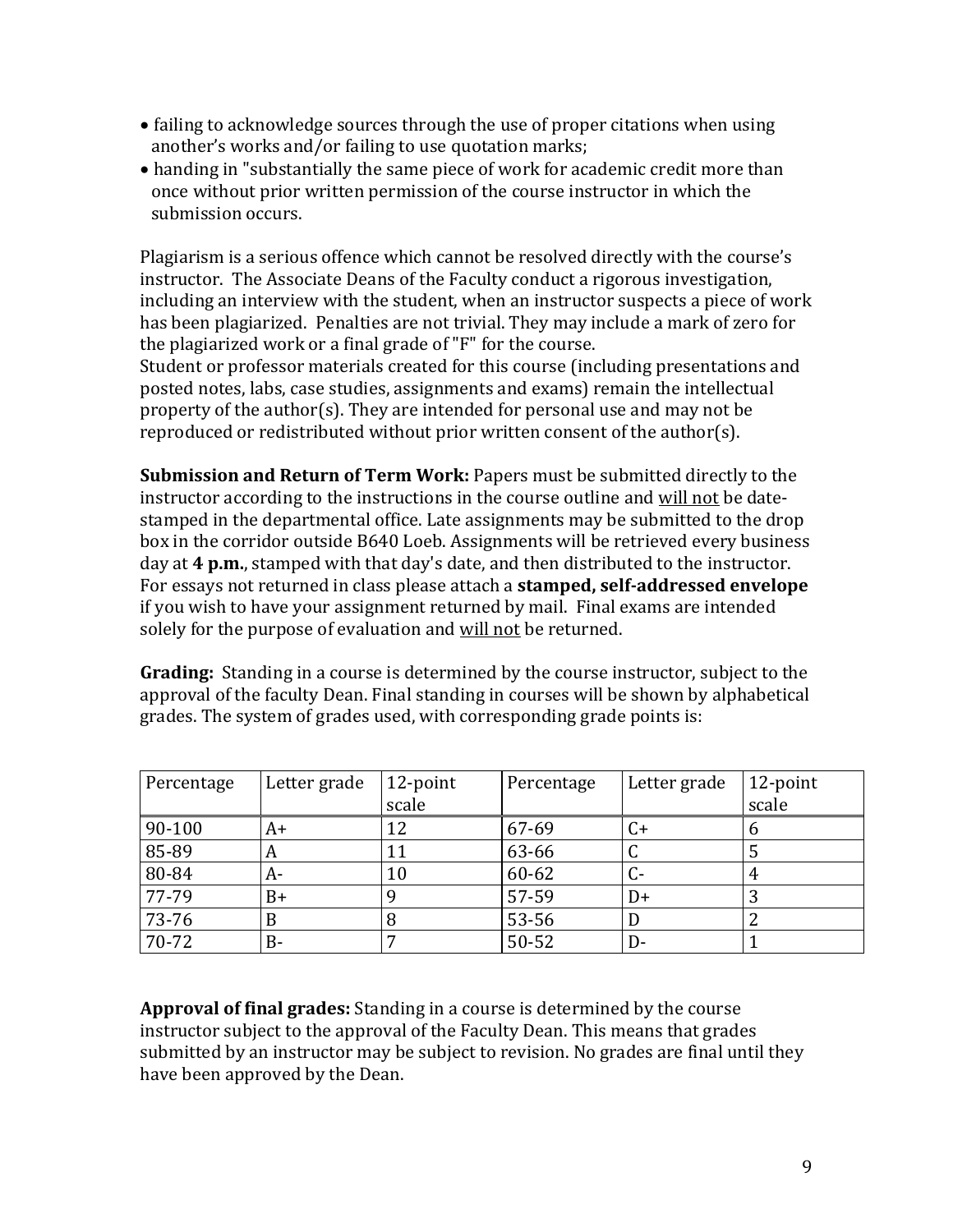- failing to acknowledge sources through the use of proper citations when using another's works and/or failing to use quotation marks;
- handing in "substantially the same piece of work for academic credit more than once without prior written permission of the course instructor in which the submission occurs.

Plagiarism is a serious offence which cannot be resolved directly with the course's instructor. The Associate Deans of the Faculty conduct a rigorous investigation, including an interview with the student, when an instructor suspects a piece of work has been plagiarized. Penalties are not trivial. They may include a mark of zero for the plagiarized work or a final grade of "F" for the course.

Student or professor materials created for this course (including presentations and posted notes, labs, case studies, assignments and exams) remain the intellectual property of the author(s). They are intended for personal use and may not be reproduced or redistributed without prior written consent of the author(s).

**Submission and Return of Term Work:** Papers must be submitted directly to the instructor according to the instructions in the course outline and will not be datestamped in the departmental office. Late assignments may be submitted to the drop box in the corridor outside B640 Loeb. Assignments will be retrieved every business day at **4 p.m.**, stamped with that day's date, and then distributed to the instructor. For essays not returned in class please attach a **stamped, self-addressed envelope** if you wish to have your assignment returned by mail. Final exams are intended solely for the purpose of evaluation and will not be returned.

**Grading:** Standing in a course is determined by the course instructor, subject to the approval of the faculty Dean. Final standing in courses will be shown by alphabetical grades. The system of grades used, with corresponding grade points is:

| Percentage | Letter grade | 12-point | Percentage | Letter grade | 12-point |
|------------|--------------|----------|------------|--------------|----------|
|            |              | scale    |            |              | scale    |
| 90-100     | A+           |          | 67-69      | C+           | O        |
| 85-89      | A            | 11       | 63-66      |              |          |
| 80-84      | A-           | 10       | 60-62      |              |          |
| 77-79      | B+           |          | 57-59      | D+           | ر        |
| 73-76      |              | 8        | 53-56      |              |          |
| 70-72      | B-           |          | 50-52      | D-           |          |

**Approval of final grades:** Standing in a course is determined by the course instructor subject to the approval of the Faculty Dean. This means that grades submitted by an instructor may be subject to revision. No grades are final until they have been approved by the Dean.